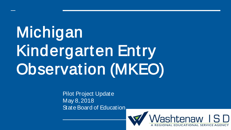# Michigan Kindergarten Entry Observation (MKEO)

**Pilot Project Update** May 8, 2018 State Board of Education

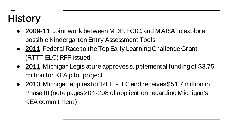## **History**

- 2009-11 Joint work between MDE, ECIC, and MAISA to explore possible Kindergarten Entry Assessment Tools
- 2011 Federal Race to the Top Early Learning Challenge Grant (RTTT-ELC) RFP issued.
- 2011 Michigan Legislature approves supplemental funding of \$3.75 million for KEA pilot project
- 2013 Michigan applies for RTTT-ELC and receives \$51.7 million in Phase III (note pages 204-208 of application regarding Michigan's KEA commitment)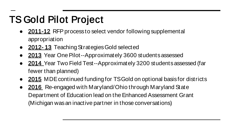## TS Gold Pilot Project

- 2011-12 RFP process to select vendor following supplemental appropriation
- 2012-13 Teaching Strategies Gold selected
- 2013 Year One Pilot--Approximately 3600 students assessed
- 2014 Year Two Field Test--Approximately 3200 students assessed (far fewer than planned)
- 2015 MDE continued funding for TS Gold on optional basis for districts
- 2016 Re-engaged with Maryland/Ohio through Maryland State Department of Education lead on the Enhanced Assessment Grant (Michigan was an inactive partner in those conversations)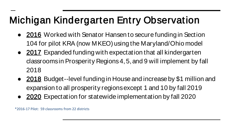### Michigan Kindergarten Entry Observation

- 2016 Worked with Senator Hansen to secure funding in Section 104 for pilot KRA (now MKEO) using the Maryland/Ohio model
- 2017 Expanded funding with expectation that all kindergarten classrooms in Prosperity Regions 4, 5, and 9 will implement by fall 2018
- 2018 Budget--level funding in House and increase by \$1 million and expansion to all prosperity regions except 1 and 10 by fall 2019
- 2020 Expectation for statewide implementation by fall 2020

\*2016-17 Pilot: 59 classrooms from 22 districts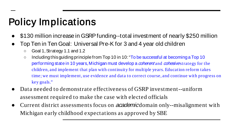## Policy Implications

- \$130 million increase in GSRP funding--total investment of nearly \$250 million
- Top Ten in Ten Goal: Universal Pre-K for 3 and 4 year old children
	- Goal 1, Strategy 1.1 and 1.2
	- Including this guiding principle from Top 10 in 10: "To be successful at becoming a Top 10 performing state in 10 years, Michigan must develop a *coherent* and *cohesive* strategy for the children, and implement that plan with continuity for multiple years. Education reform takes time; we must implement, use evidence and data to correct course, and continue with progress on key goals."
- Data needed to demonstrate effectiveness of GSRP investment--uniform assessment required to make the case with elected officials
- Current district assessments focus on *academic* domain only--misalignment with Michigan early childhood expectations as approved by SBE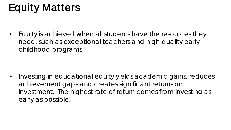## Equity Matters

• Equity is achieved when all students have the resources they need, such as exceptional teachers and high-quality early childhood programs

• Investing in educational equity yields academic gains, reduces achievement gaps and creates significant returns on investment. The highest rate of return comes from investing as early as possible.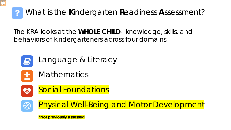

### What is the **K**indergarten **R**eadiness **A**ssessment?

The KRA looks at the **WHOLE CHILD**- knowledge, skills, and behaviors of kindergarteners across four domains:



Language & Literacy



**Mathematics** 



Social Foundations



#### Physical Well-Being and Motor Development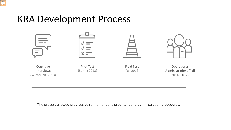

### KRA Development Process









Cognitive Interviews (Winter 2012–13)

Pilot Test (Spring 2013)

Field Test (Fall 2013)

Operational Administrations (Fall 2014–2017)

The process allowed progressive refinement of the content and administration procedures.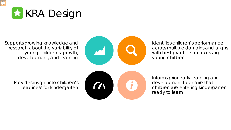

Supports growing knowledge and research about the variability of young children's growth, development, and learning



Identifies children's performance across multiple domains and aligns with best practice for assessing young children

Provides insight into children's readiness for kindergarten



Informs prior early learning and development to ensure that children are entering kindergarten ready to learn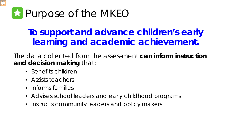

### **To support and advance children's early learning and academic achievement.**

The data collected from the assessment **can inform instruction and decision making** that:

- Benefits children
- Assists teachers
- Informs families
- Advises school leaders and early childhood programs
- Instructs community leaders and policy makers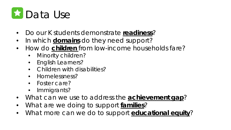

- Do our K students demonstrate **readiness**?
- In which **domains** do they need support?
- How do **children** from low-income households fare?
	- Minority children?
	- English Learners?
	- Children with disabilities?
	- Homelessness?
	- Foster care?
	- Immigrants?
- What can we use to address the **achievement gap**?
- What are we doing to support **families**?
- What more can we do to support **educational equity**?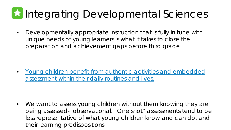## **Ex Integrating Developmental Sciences**

• Developmentally appropriate instruction that is fully in tune with unique needs of young learners is what it takes to close the preparation and achievement gaps before third grade

• [Young children benefit from authentic activities and embedded](https://www.npr.org/sections/ed/2018/03/06/589478490/making-elementary-school-a-lot-more-fun-like-preschool)  assessment within their daily routines and lives.

• We want to assess young children without them knowing they are being assessed- observational. "One shot" assessments tend to be less representative of what young children know and can do, and their learning predispositions.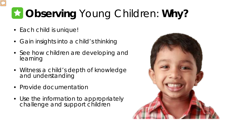## **Observing** Young Children: **Why?**

- Each child is unique!
- Gain insights into a child's thinking
- See how children are developing and learning
- Witness a child's depth of knowledge and understanding
- Provide documentation
- Use the information to appropriately challenge and support children

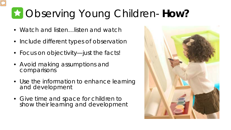## Observing Young Children- **How?**

- Watch and listen... listen and watch
- Include different types of observation
- Focus on objectivity—just the facts!
- Avoid making assumptions and comparisons
- Use the information to enhance learning and development
- Give time and space for children to show their learning and development

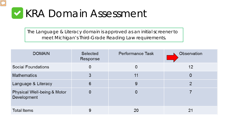

The Language & Literacy domain is approved as an initial screener to meet Michigan's Third-Grade Reading Law requirements.

| <b>DOMAIN</b>                              | <b>Selected</b><br>Response | Performance Task | Observation |
|--------------------------------------------|-----------------------------|------------------|-------------|
| Social Foundations                         | 0                           | 0                | 12          |
| <b>Mathematics</b>                         | 3                           | 11               | 0           |
| Language & Literacy                        | 6                           | 9                | 2           |
| Physical Well-being & Motor<br>Development | 0                           |                  |             |
| <b>Total Items</b>                         | 9                           | 20               | 21          |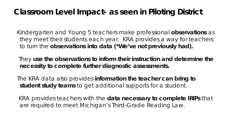#### **Classroom Level Impact- as seen in Piloting District**

Kindergarten and Young 5 teachers make professional **observations** as they meet their students each year. KRA provides a way for teachers to turn the **observations into data (\*We've not previously had).**

They **use the observations to inform their instruction and determine the necessity to complete further diagnostic assessments.**

The KRA data also provides **information the teacher can bring to student study teams** to get additional supports for a student.

KRA provides teachers with the **data necessary to complete IRIPs** that are required to meet Michigan's Third-Grade Reading Law.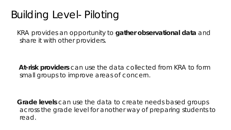## Building Level- Piloting

KRA provides an opportunity to **gather observational data** and share it with other providers.

**At-risk providers** can use the data collected from KRA to form small groups to improve areas of concern.

**Grade levels** can use the data to create needs based groups across the grade level for another way of preparing students to read.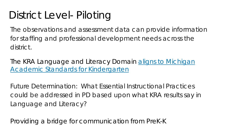## District Level- Piloting

The observations and assessment data can provide information for staffing and professional development needs across the district.

The KRA Language and Literacy Domain aligns to Michigan Academic Standards for Kindergarten

Future Determination: What Essential Instructional Practices could be addressed in PD based upon what KRA results say in Language and Literacy?

Providing a bridge for communication from PreK-K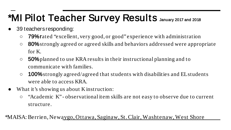## \*MI Pilot Teacher Survey Results January 2017 and 2018

- 39 teachers responding:
	- **79% r**ated "excellent, very good, or good" experience with administration
	- 80% strongly agreed or agreed skills and behaviors addressed were appropriate for K.
	- 50% planned to use KRA results in their instructional planning and to communicate with families.
	- **100%** strongly agreed/agreed that students with disabilities and EL students were able to access KRA.
- What it's showing us about K instruction:
	- "Academic K" observational item skills are not easy to observe due to current structure.

\*MAISA: Berrien, Newaygo, Ottawa, Saginaw, St. Clair, Washtenaw, West Shore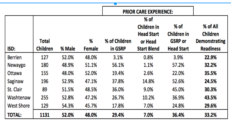|                   |                                 |        |             | <b>PRIOR CARE EXPERIENCE:</b> |                                                                                  |                                                                   |                                                                         |
|-------------------|---------------------------------|--------|-------------|-------------------------------|----------------------------------------------------------------------------------|-------------------------------------------------------------------|-------------------------------------------------------------------------|
| ISD:              | <b>Total</b><br><b>Children</b> | % Male | %<br>Female | % of Children<br>in GSRP      | % of<br><b>Children in</b><br><b>Head Start</b><br>or Head<br><b>Start Blend</b> | % of<br><b>Children in</b><br><b>GSRP</b> or<br><b>Head Start</b> | % of All<br><b>Children</b><br><b>Demonstrating</b><br><b>Readiness</b> |
| <b>Berrien</b>    | 127                             | 52.0%  | 48.0%       | 3.1%                          | 0.8%                                                                             | 3.9%                                                              | 22.9%                                                                   |
| Newaygo           | 180                             | 48.9%  | 51.1%       | 56.1%                         | 1.1%                                                                             | 57.2%                                                             | 32.2%                                                                   |
| Ottawa            | 155                             | 48.0%  | 52.0%       | 19.4%                         | 2.6%                                                                             | 22.0%                                                             | 35.5%                                                                   |
| Saginaw           | 196                             | 52.9%  | 47.1%       | 37.8%                         | 14.8%                                                                            | 52.6%                                                             | 24.5%                                                                   |
| St. Clair         | 89                              | 51.5%  | 48.5%       | 36.0%                         | 9.0%                                                                             | 45.0%                                                             | 30.3%                                                                   |
| Washtenaw         | 255                             | 52.8%  | 47.2%       | 26.7%                         | 10.2%                                                                            | 36.9%                                                             | 43.5%                                                                   |
| <b>West Shore</b> | 129                             | 54.3%  | 45.7%       | 17.8%                         | 7.0%                                                                             | 24.8%                                                             | 29.6%                                                                   |
| <b>TOTAL:</b>     | 1131                            | 52.0%  | 48.0%       | 29.4%                         | 7.0%                                                                             | 36.4%                                                             | 33.2%                                                                   |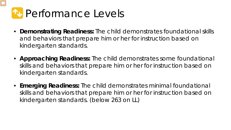

- **Demonstrating Readiness:** The child demonstrates foundational skills and behaviors that prepare him or her for instruction based on kindergarten standards.
- **Approaching Readiness:** The child demonstrates *some* foundational skills and behaviors that prepare him or her for instruction based on kindergarten standards.
- **Emerging Readiness:** The child demonstrates *minimal* foundational skills and behaviors that prepare him or her for instruction based on kindergarten standards. (below 263 on LL)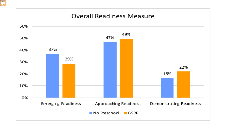

#### **Overall Readiness Measure**

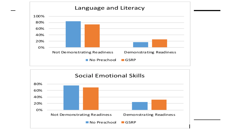

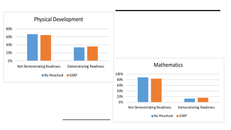